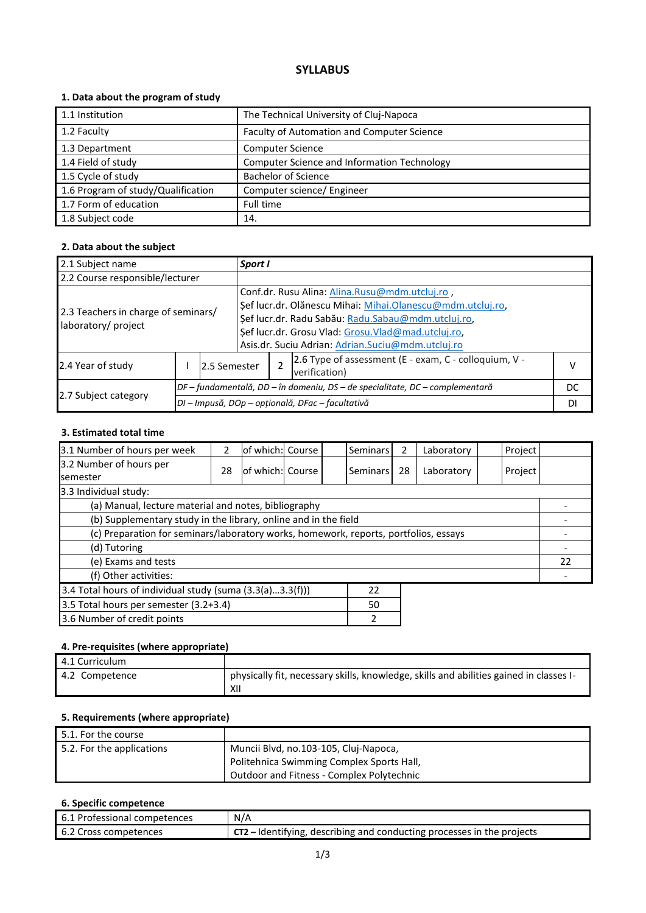# **SYLLABUS**

# **1. Data about the program of study**

| 1.1 Institution                    | The Technical University of Cluj-Napoca     |
|------------------------------------|---------------------------------------------|
| 1.2 Faculty                        | Faculty of Automation and Computer Science  |
| 1.3 Department                     | <b>Computer Science</b>                     |
| 1.4 Field of study                 | Computer Science and Information Technology |
| 1.5 Cycle of study                 | <b>Bachelor of Science</b>                  |
| 1.6 Program of study/Qualification | Computer science/ Engineer                  |
| 1.7 Form of education              | Full time                                   |
| 1.8 Subject code                   | 14.                                         |

### **2. Data about the subject**

| 2.1 Subject name                                           |                                                  | Sport I                                                                        |  |                                                                                                                                                                                                                                                                               |                                                                        |   |  |
|------------------------------------------------------------|--------------------------------------------------|--------------------------------------------------------------------------------|--|-------------------------------------------------------------------------------------------------------------------------------------------------------------------------------------------------------------------------------------------------------------------------------|------------------------------------------------------------------------|---|--|
| 2.2 Course responsible/lecturer                            |                                                  |                                                                                |  |                                                                                                                                                                                                                                                                               |                                                                        |   |  |
| 2.3 Teachers in charge of seminars/<br>laboratory/ project |                                                  |                                                                                |  | Conf.dr. Rusu Alina: Alina.Rusu@mdm.utcluj.ro,<br>Şef lucr.dr. Olănescu Mihai: Mihai.Olanescu@mdm.utcluj.ro,<br>Şef lucr.dr. Radu Sabău: Radu.Sabau@mdm.utcluj.ro,<br>Şef lucr.dr. Grosu Vlad: Grosu.Vlad@mad.utcluj.ro,<br>Asis.dr. Suciu Adrian: Adrian.Suciu@mdm.utcluj.ro |                                                                        |   |  |
| 2.4 Year of study                                          | 2.5 Semester                                     |                                                                                |  |                                                                                                                                                                                                                                                                               | 2.6 Type of assessment (E - exam, C - colloquium, V -<br>verification) | v |  |
|                                                            |                                                  | $DF$ – fundamentală, DD – în domeniu, DS – de specialitate, DC – complementară |  |                                                                                                                                                                                                                                                                               | DC                                                                     |   |  |
| 2.7 Subject category                                       | DI - Impusă, DOp - opțională, DFac - facultativă |                                                                                |  |                                                                                                                                                                                                                                                                               | DI                                                                     |   |  |

#### **3. Estimated total time**

| 3.1 Number of hours per week                                                         | $\mathcal{P}$ | of which: Course  |  |  | Seminars        | 2  | Laboratory | Project |  |
|--------------------------------------------------------------------------------------|---------------|-------------------|--|--|-----------------|----|------------|---------|--|
| 3.2 Number of hours per                                                              | 28            | lof which: Course |  |  | <b>Seminars</b> | 28 | Laboratory | Project |  |
| <b>semester</b>                                                                      |               |                   |  |  |                 |    |            |         |  |
| 3.3 Individual study:                                                                |               |                   |  |  |                 |    |            |         |  |
| (a) Manual, lecture material and notes, bibliography                                 |               |                   |  |  |                 |    |            |         |  |
| (b) Supplementary study in the library, online and in the field                      |               |                   |  |  |                 |    |            |         |  |
| (c) Preparation for seminars/laboratory works, homework, reports, portfolios, essays |               |                   |  |  |                 |    |            |         |  |
| (d) Tutoring                                                                         |               |                   |  |  |                 |    |            |         |  |
| (e) Exams and tests                                                                  |               |                   |  |  |                 |    |            | 22      |  |
| (f) Other activities:                                                                |               |                   |  |  |                 |    |            |         |  |
| 3.4 Total hours of individual study (suma (3.3(a)3.3(f)))<br>22                      |               |                   |  |  |                 |    |            |         |  |
| 3.5 Total hours per semester (3.2+3.4)<br>50                                         |               |                   |  |  |                 |    |            |         |  |
| 3.6 Number of credit points<br>2                                                     |               |                   |  |  |                 |    |            |         |  |

# **4. Pre-requisites (where appropriate)**

| 4.1 Curriculum |                                                                                               |
|----------------|-----------------------------------------------------------------------------------------------|
| 4.2 Competence | physically fit, necessary skills, knowledge, skills and abilities gained in classes I-<br>XII |

## **5. Requirements (where appropriate)**

| 5.1. For the course       |                                                  |
|---------------------------|--------------------------------------------------|
| 5.2. For the applications | Muncii Blvd, no.103-105, Cluj-Napoca,            |
|                           | Politehnica Swimming Complex Sports Hall,        |
|                           | <b>Outdoor and Fitness - Complex Polytechnic</b> |

# **6. Specific competence**

| <b>6.1 Professional competences</b> | N/A                                                                             |
|-------------------------------------|---------------------------------------------------------------------------------|
| 6.2 Cross competences               | $\Gamma$ CT2 – Identifying, describing and conducting processes in the projects |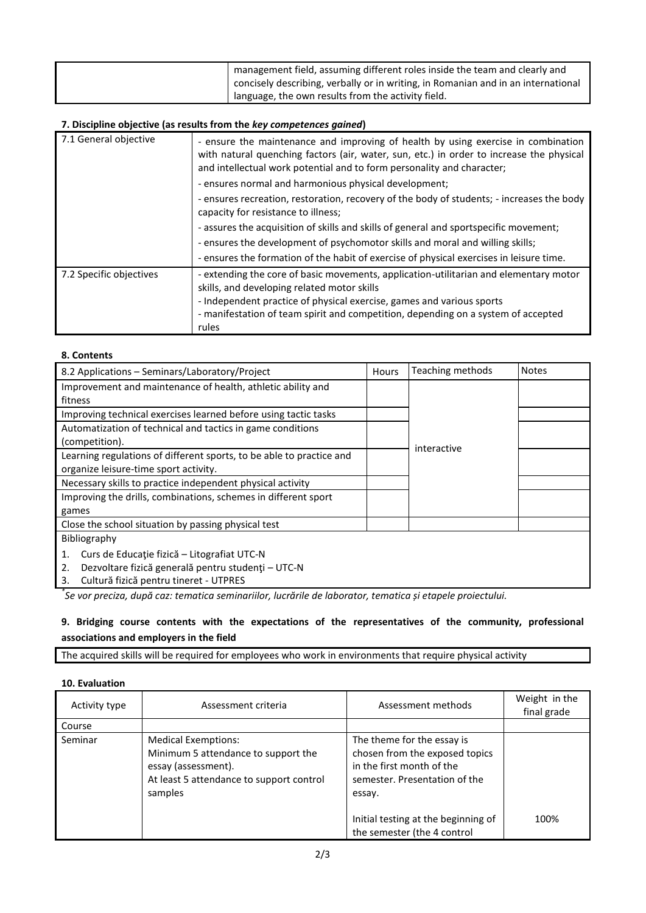| I management field, assuming different roles inside the team and clearly and<br>concisely describing, verbally or in writing, in Romanian and in an international |
|-------------------------------------------------------------------------------------------------------------------------------------------------------------------|
| language, the own results from the activity field.                                                                                                                |

### **7. Discipline objective (as results from the** *key competences gained***)**

| 7.1 General objective   | - ensure the maintenance and improving of health by using exercise in combination<br>with natural quenching factors (air, water, sun, etc.) in order to increase the physical<br>and intellectual work potential and to form personality and character;<br>- ensures normal and harmonious physical development; |
|-------------------------|------------------------------------------------------------------------------------------------------------------------------------------------------------------------------------------------------------------------------------------------------------------------------------------------------------------|
|                         | - ensures recreation, restoration, recovery of the body of students; - increases the body<br>capacity for resistance to illness;                                                                                                                                                                                 |
|                         | - assures the acquisition of skills and skills of general and sportspecific movement;                                                                                                                                                                                                                            |
|                         | - ensures the development of psychomotor skills and moral and willing skills;                                                                                                                                                                                                                                    |
|                         | - ensures the formation of the habit of exercise of physical exercises in leisure time.                                                                                                                                                                                                                          |
| 7.2 Specific objectives | - extending the core of basic movements, application-utilitarian and elementary motor<br>skills, and developing related motor skills                                                                                                                                                                             |
|                         | - Independent practice of physical exercise, games and various sports                                                                                                                                                                                                                                            |
|                         | - manifestation of team spirit and competition, depending on a system of accepted                                                                                                                                                                                                                                |
|                         | rules                                                                                                                                                                                                                                                                                                            |

#### **8. Contents**

| 8.2 Applications - Seminars/Laboratory/Project                       | Hours | Teaching methods | <b>Notes</b> |  |
|----------------------------------------------------------------------|-------|------------------|--------------|--|
| Improvement and maintenance of health, athletic ability and          |       |                  |              |  |
| fitness                                                              |       |                  |              |  |
| Improving technical exercises learned before using tactic tasks      |       |                  |              |  |
| Automatization of technical and tactics in game conditions           |       |                  |              |  |
| (competition).                                                       |       | interactive      |              |  |
| Learning regulations of different sports, to be able to practice and |       |                  |              |  |
| organize leisure-time sport activity.                                |       |                  |              |  |
| Necessary skills to practice independent physical activity           |       |                  |              |  |
| Improving the drills, combinations, schemes in different sport       |       |                  |              |  |
| games                                                                |       |                  |              |  |
| Close the school situation by passing physical test                  |       |                  |              |  |
| Bibliography                                                         |       |                  |              |  |
| Curs de Educație fizică – Litografiat UTC-N<br>1.                    |       |                  |              |  |
| Dezvoltare fizică generală pentru studenți - UTC-N<br>2.             |       |                  |              |  |
| Cultură fizică pentru tineret - UTPRES<br>3.                         |       |                  |              |  |

*\* Se vor preciza, după caz: tematica seminariilor, lucrările de laborator, tematica și etapele proiectului.*

# **9. Bridging course contents with the expectations of the representatives of the community, professional associations and employers in the field**

The acquired skills will be required for employees who work in environments that require physical activity

# **10. Evaluation**

| Activity type | Assessment criteria                                                                                                                             | Assessment methods                                                                                                                                                                                         | Weight in the<br>final grade |
|---------------|-------------------------------------------------------------------------------------------------------------------------------------------------|------------------------------------------------------------------------------------------------------------------------------------------------------------------------------------------------------------|------------------------------|
| Course        |                                                                                                                                                 |                                                                                                                                                                                                            |                              |
| Seminar       | <b>Medical Exemptions:</b><br>Minimum 5 attendance to support the<br>essay (assessment).<br>At least 5 attendance to support control<br>samples | The theme for the essay is<br>chosen from the exposed topics<br>in the first month of the<br>semester. Presentation of the<br>essay.<br>Initial testing at the beginning of<br>the semester (the 4 control | 100%                         |